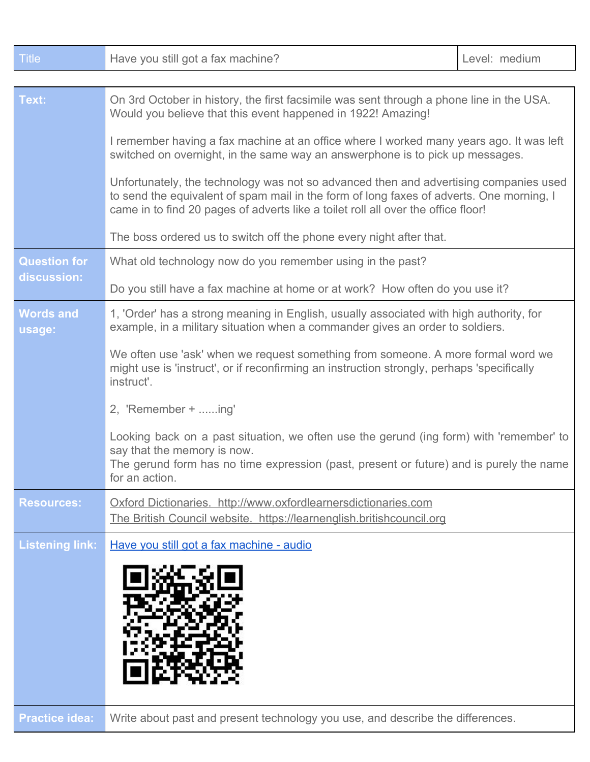| <b>Title</b>                       | Have you still got a fax machine?                                                                                                                                                                                                                                      | Level: medium |  |
|------------------------------------|------------------------------------------------------------------------------------------------------------------------------------------------------------------------------------------------------------------------------------------------------------------------|---------------|--|
|                                    |                                                                                                                                                                                                                                                                        |               |  |
| Text:                              | On 3rd October in history, the first facsimile was sent through a phone line in the USA.<br>Would you believe that this event happened in 1922! Amazing!                                                                                                               |               |  |
|                                    | I remember having a fax machine at an office where I worked many years ago. It was left<br>switched on overnight, in the same way an answerphone is to pick up messages.                                                                                               |               |  |
|                                    | Unfortunately, the technology was not so advanced then and advertising companies used<br>to send the equivalent of spam mail in the form of long faxes of adverts. One morning, I<br>came in to find 20 pages of adverts like a toilet roll all over the office floor! |               |  |
|                                    | The boss ordered us to switch off the phone every night after that.                                                                                                                                                                                                    |               |  |
| <b>Question for</b><br>discussion: | What old technology now do you remember using in the past?                                                                                                                                                                                                             |               |  |
|                                    | Do you still have a fax machine at home or at work? How often do you use it?                                                                                                                                                                                           |               |  |
| <b>Words and</b><br>usage:         | 1, 'Order' has a strong meaning in English, usually associated with high authority, for<br>example, in a military situation when a commander gives an order to soldiers.                                                                                               |               |  |
|                                    | We often use 'ask' when we request something from someone. A more formal word we<br>might use is 'instruct', or if reconfirming an instruction strongly, perhaps 'specifically<br>instruct'.                                                                           |               |  |
|                                    | 2, 'Remember + ing'                                                                                                                                                                                                                                                    |               |  |
|                                    | Looking back on a past situation, we often use the gerund (ing form) with 'remember' to<br>say that the memory is now.<br>The gerund form has no time expression (past, present or future) and is purely the name<br>for an action.                                    |               |  |
| <b>Resources:</b>                  | Oxford Dictionaries. http://www.oxfordlearnersdictionaries.com<br>The British Council website. https://learnenglish.britishcouncil.org                                                                                                                                 |               |  |
| <b>Listening link:</b>             | Have you still got a fax machine - audio                                                                                                                                                                                                                               |               |  |
|                                    |                                                                                                                                                                                                                                                                        |               |  |
| <b>Practice idea:</b>              | Write about past and present technology you use, and describe the differences.                                                                                                                                                                                         |               |  |